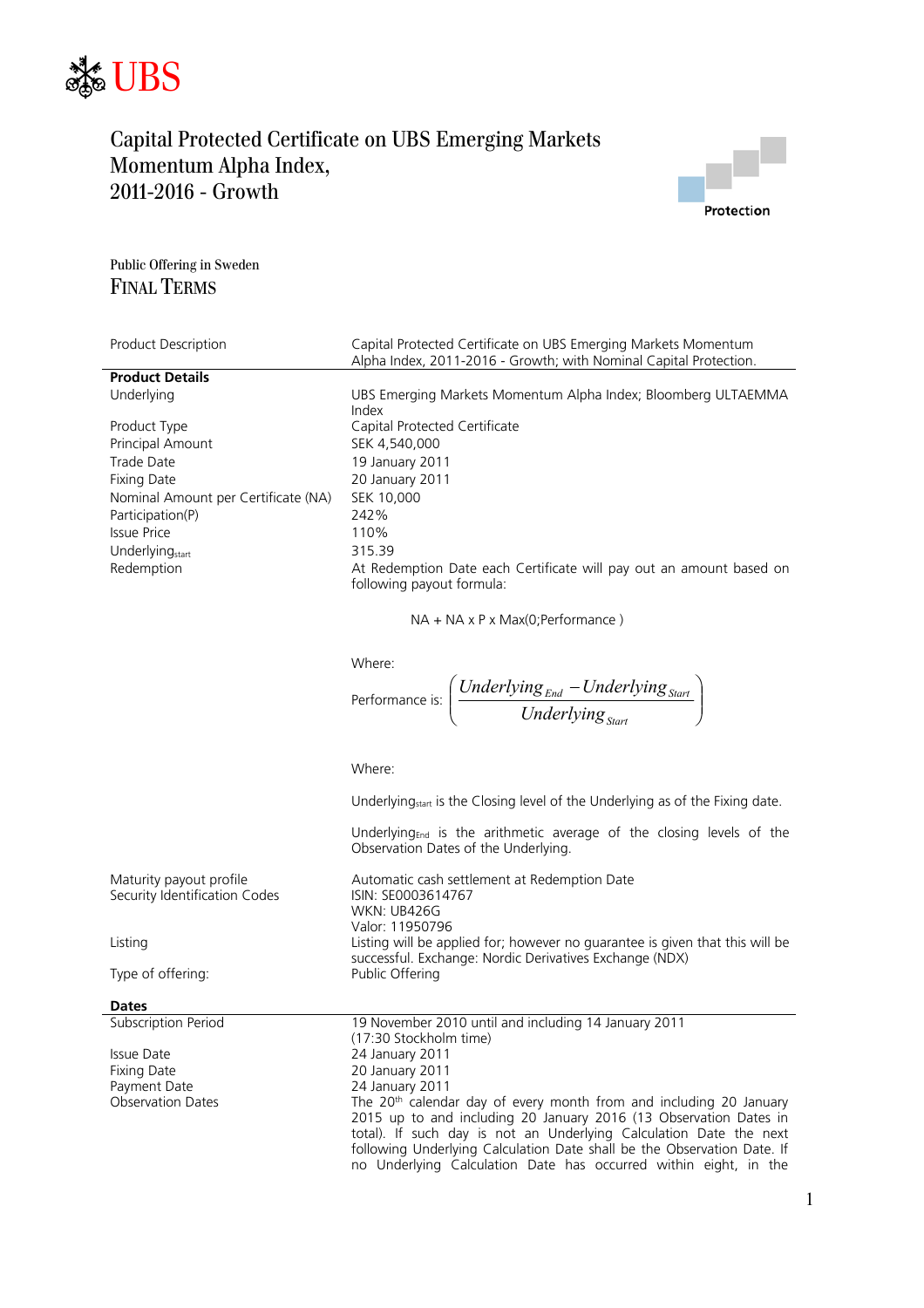



Public Offering in Sweden FINAL TERMS

| <b>Product Description</b>          | Capital Protected Certificate on UBS Emerging Markets Momentum<br>Alpha Index, 2011-2016 - Growth; with Nominal Capital Protection. |
|-------------------------------------|-------------------------------------------------------------------------------------------------------------------------------------|
| <b>Product Details</b>              |                                                                                                                                     |
| Underlying                          | UBS Emerging Markets Momentum Alpha Index; Bloomberg ULTAEMMA<br>Index                                                              |
| Product Type                        | Capital Protected Certificate                                                                                                       |
| <b>Principal Amount</b>             | SEK 4.540.000                                                                                                                       |
| Trade Date                          | 19 January 2011                                                                                                                     |
| Fixing Date                         | 20 January 2011                                                                                                                     |
| Nominal Amount per Certificate (NA) | SEK 10,000                                                                                                                          |
| Participation(P)                    | 242%                                                                                                                                |
| Issue Price                         | 110%                                                                                                                                |
| Underlying <sub>start</sub>         | 315.39                                                                                                                              |
| Redemption                          | At Redemption Date each Certificate will pay out an amount based on<br>following payout formula:                                    |

NA + NA x P x Max(0;Performance )

Where:

$$
\text{Performance is: } \left(\frac{Underlying_{\text{End}} - Underlying_{\text{Start}}}{Underlying_{\text{Start}}}\right)
$$

Where:

Underlying<sub>start</sub> is the Closing level of the Underlying as of the Fixing date.

Underlying<sub>End</sub> is the arithmetic average of the closing levels of the Observation Dates of the Underlying.

| Maturity payout profile       | Automatic cash settlement at Redemption Date                                                                                            |
|-------------------------------|-----------------------------------------------------------------------------------------------------------------------------------------|
| Security Identification Codes | ISIN: SE0003614767                                                                                                                      |
|                               | WKN: UB426G                                                                                                                             |
|                               | Valor: 11950796                                                                                                                         |
| Listing                       | Listing will be applied for; however no quarantee is given that this will be<br>successful. Exchange: Nordic Derivatives Exchange (NDX) |
| Type of offering:             | Public Offering                                                                                                                         |

Issue Date 24 January 2011 Fixing Date 20 January 2011 Payment Date 24 January 2011<br>
Observation Dates The 20<sup>th</sup> calenda

Subscription Period 19 November 2010 until and including 14 January 2011 (17:30 Stockholm time) The 20<sup>th</sup> calendar day of every month from and including 20 January 2015 up to and including 20 January 2016 (13 Observation Dates in total). If such day is not an Underlying Calculation Date the next following Underlying Calculation Date shall be the Observation Date. If no Underlying Calculation Date has occurred within eight, in the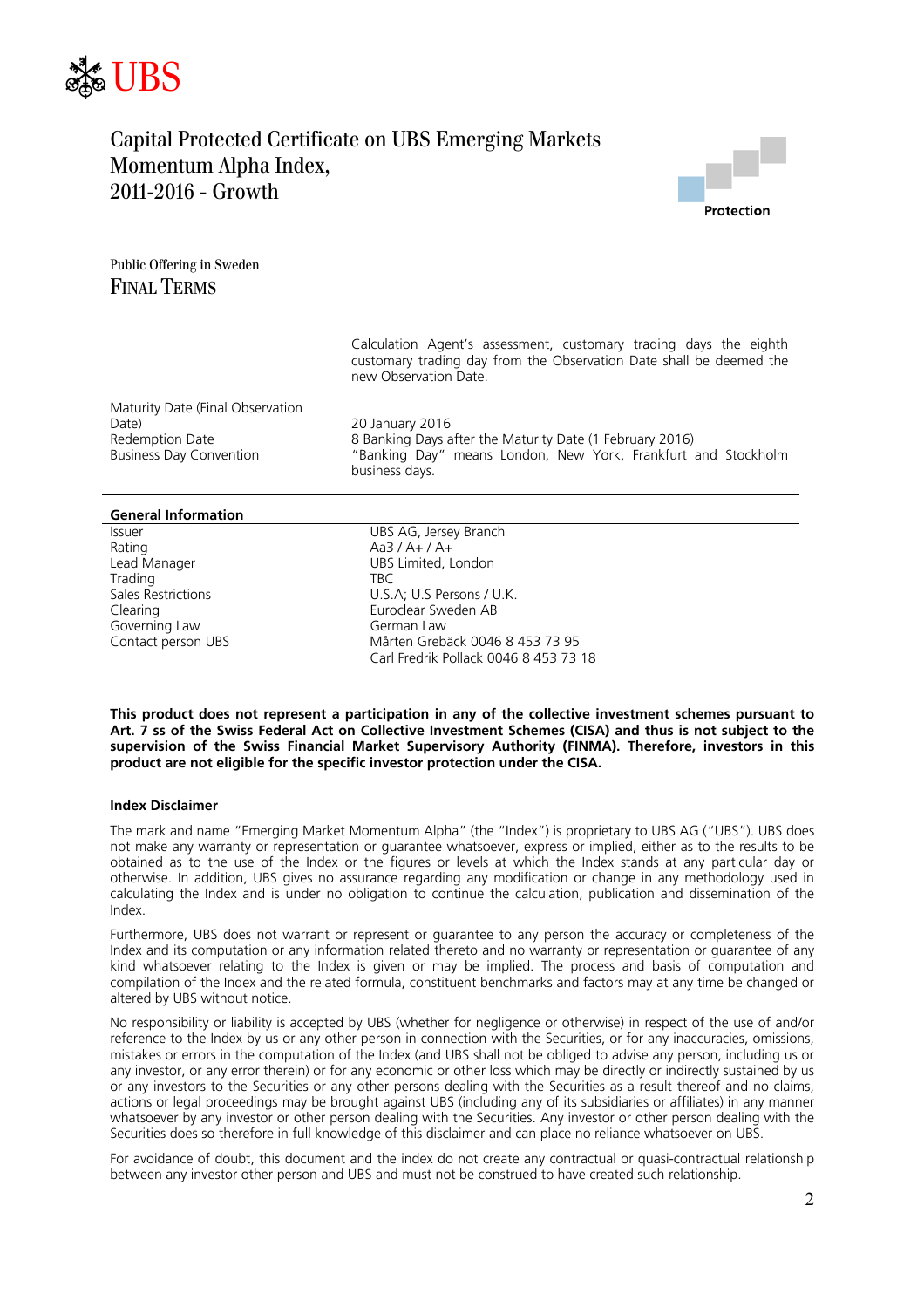



Public Offering in Sweden FINAL TERMS

> Calculation Agent's assessment, customary trading days the eighth customary trading day from the Observation Date shall be deemed the new Observation Date.

Maturity Date (Final Observation Date) 20 January 2016

8 Banking Days after the Maturity Date (1 February 2016) Business Day Convention "Banking Day" means London, New York, Frankfurt and Stockholm business days.

#### **General Information**

Rating Aa3 / A+ / A+ Trading The TBC Governing Law German Law

Issuer UBS AG, Jersey Branch Lead Manager **Lead Manager** UBS Limited, London Sales Restrictions **U.S.A; U.S Persons / U.K.** Clearing Euroclear Sweden AB Mårten Grebäck 0046 8 453 73 95 Carl Fredrik Pollack 0046 8 453 73 18

**This product does not represent a participation in any of the collective investment schemes pursuant to Art. 7 ss of the Swiss Federal Act on Collective Investment Schemes (CISA) and thus is not subject to the supervision of the Swiss Financial Market Supervisory Authority (FINMA). Therefore, investors in this product are not eligible for the specific investor protection under the CISA.** 

#### **Index Disclaimer**

The mark and name "Emerging Market Momentum Alpha" (the "Index") is proprietary to UBS AG ("UBS"). UBS does not make any warranty or representation or guarantee whatsoever, express or implied, either as to the results to be obtained as to the use of the Index or the figures or levels at which the Index stands at any particular day or otherwise. In addition, UBS gives no assurance regarding any modification or change in any methodology used in calculating the Index and is under no obligation to continue the calculation, publication and dissemination of the Index.

Furthermore, UBS does not warrant or represent or guarantee to any person the accuracy or completeness of the Index and its computation or any information related thereto and no warranty or representation or guarantee of any kind whatsoever relating to the Index is given or may be implied. The process and basis of computation and compilation of the Index and the related formula, constituent benchmarks and factors may at any time be changed or altered by UBS without notice.

No responsibility or liability is accepted by UBS (whether for negligence or otherwise) in respect of the use of and/or reference to the Index by us or any other person in connection with the Securities, or for any inaccuracies, omissions, mistakes or errors in the computation of the Index (and UBS shall not be obliged to advise any person, including us or any investor, or any error therein) or for any economic or other loss which may be directly or indirectly sustained by us or any investors to the Securities or any other persons dealing with the Securities as a result thereof and no claims, actions or legal proceedings may be brought against UBS (including any of its subsidiaries or affiliates) in any manner whatsoever by any investor or other person dealing with the Securities. Any investor or other person dealing with the Securities does so therefore in full knowledge of this disclaimer and can place no reliance whatsoever on UBS.

For avoidance of doubt, this document and the index do not create any contractual or quasi-contractual relationship between any investor other person and UBS and must not be construed to have created such relationship.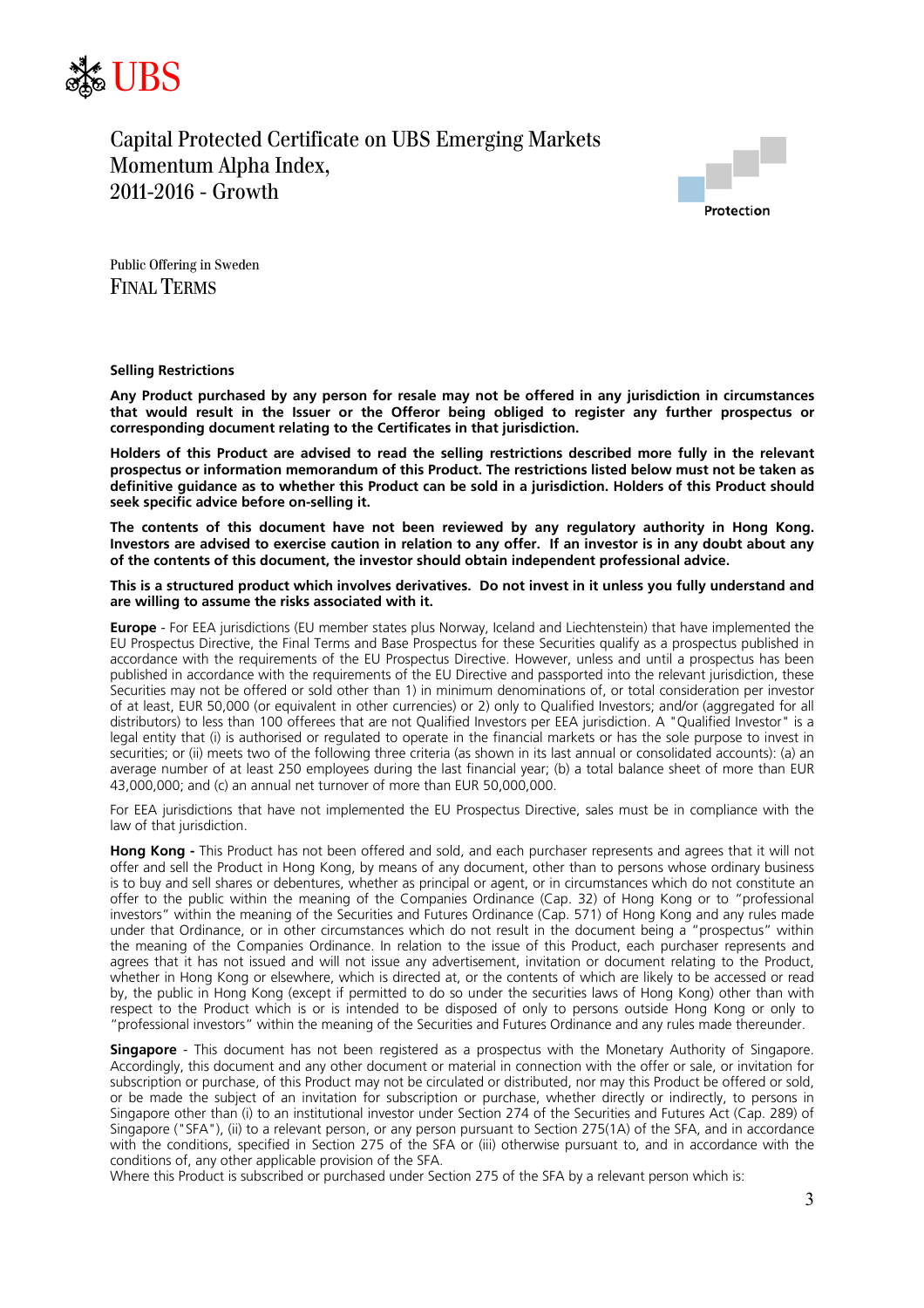



Public Offering in Sweden FINAL TERMS

#### **Selling Restrictions**

**Any Product purchased by any person for resale may not be offered in any jurisdiction in circumstances that would result in the Issuer or the Offeror being obliged to register any further prospectus or corresponding document relating to the Certificates in that jurisdiction.** 

**Holders of this Product are advised to read the selling restrictions described more fully in the relevant prospectus or information memorandum of this Product. The restrictions listed below must not be taken as definitive guidance as to whether this Product can be sold in a jurisdiction. Holders of this Product should seek specific advice before on-selling it.** 

**The contents of this document have not been reviewed by any regulatory authority in Hong Kong. Investors are advised to exercise caution in relation to any offer. If an investor is in any doubt about any of the contents of this document, the investor should obtain independent professional advice.** 

### **This is a structured product which involves derivatives. Do not invest in it unless you fully understand and are willing to assume the risks associated with it.**

**Europe** - For EEA jurisdictions (EU member states plus Norway, Iceland and Liechtenstein) that have implemented the EU Prospectus Directive, the Final Terms and Base Prospectus for these Securities qualify as a prospectus published in accordance with the requirements of the EU Prospectus Directive. However, unless and until a prospectus has been published in accordance with the requirements of the EU Directive and passported into the relevant jurisdiction, these Securities may not be offered or sold other than 1) in minimum denominations of, or total consideration per investor of at least, EUR 50,000 (or equivalent in other currencies) or 2) only to Qualified Investors; and/or (aggregated for all distributors) to less than 100 offerees that are not Qualified Investors per EEA jurisdiction. A "Qualified Investor" is a legal entity that (i) is authorised or regulated to operate in the financial markets or has the sole purpose to invest in securities; or (ii) meets two of the following three criteria (as shown in its last annual or consolidated accounts): (a) an average number of at least 250 employees during the last financial year; (b) a total balance sheet of more than EUR 43,000,000; and (c) an annual net turnover of more than EUR 50,000,000.

For EEA jurisdictions that have not implemented the EU Prospectus Directive, sales must be in compliance with the law of that jurisdiction.

**Hong Kong -** This Product has not been offered and sold, and each purchaser represents and agrees that it will not offer and sell the Product in Hong Kong, by means of any document, other than to persons whose ordinary business is to buy and sell shares or debentures, whether as principal or agent, or in circumstances which do not constitute an offer to the public within the meaning of the Companies Ordinance (Cap. 32) of Hong Kong or to "professional investors" within the meaning of the Securities and Futures Ordinance (Cap. 571) of Hong Kong and any rules made under that Ordinance, or in other circumstances which do not result in the document being a "prospectus" within the meaning of the Companies Ordinance. In relation to the issue of this Product, each purchaser represents and agrees that it has not issued and will not issue any advertisement, invitation or document relating to the Product, whether in Hong Kong or elsewhere, which is directed at, or the contents of which are likely to be accessed or read by, the public in Hong Kong (except if permitted to do so under the securities laws of Hong Kong) other than with respect to the Product which is or is intended to be disposed of only to persons outside Hong Kong or only to "professional investors" within the meaning of the Securities and Futures Ordinance and any rules made thereunder.

**Singapore** - This document has not been registered as a prospectus with the Monetary Authority of Singapore. Accordingly, this document and any other document or material in connection with the offer or sale, or invitation for subscription or purchase, of this Product may not be circulated or distributed, nor may this Product be offered or sold, or be made the subject of an invitation for subscription or purchase, whether directly or indirectly, to persons in Singapore other than (i) to an institutional investor under Section 274 of the Securities and Futures Act (Cap. 289) of Singapore ("SFA"), (ii) to a relevant person, or any person pursuant to Section 275(1A) of the SFA, and in accordance with the conditions, specified in Section 275 of the SFA or (iii) otherwise pursuant to, and in accordance with the conditions of, any other applicable provision of the SFA.

Where this Product is subscribed or purchased under Section 275 of the SFA by a relevant person which is: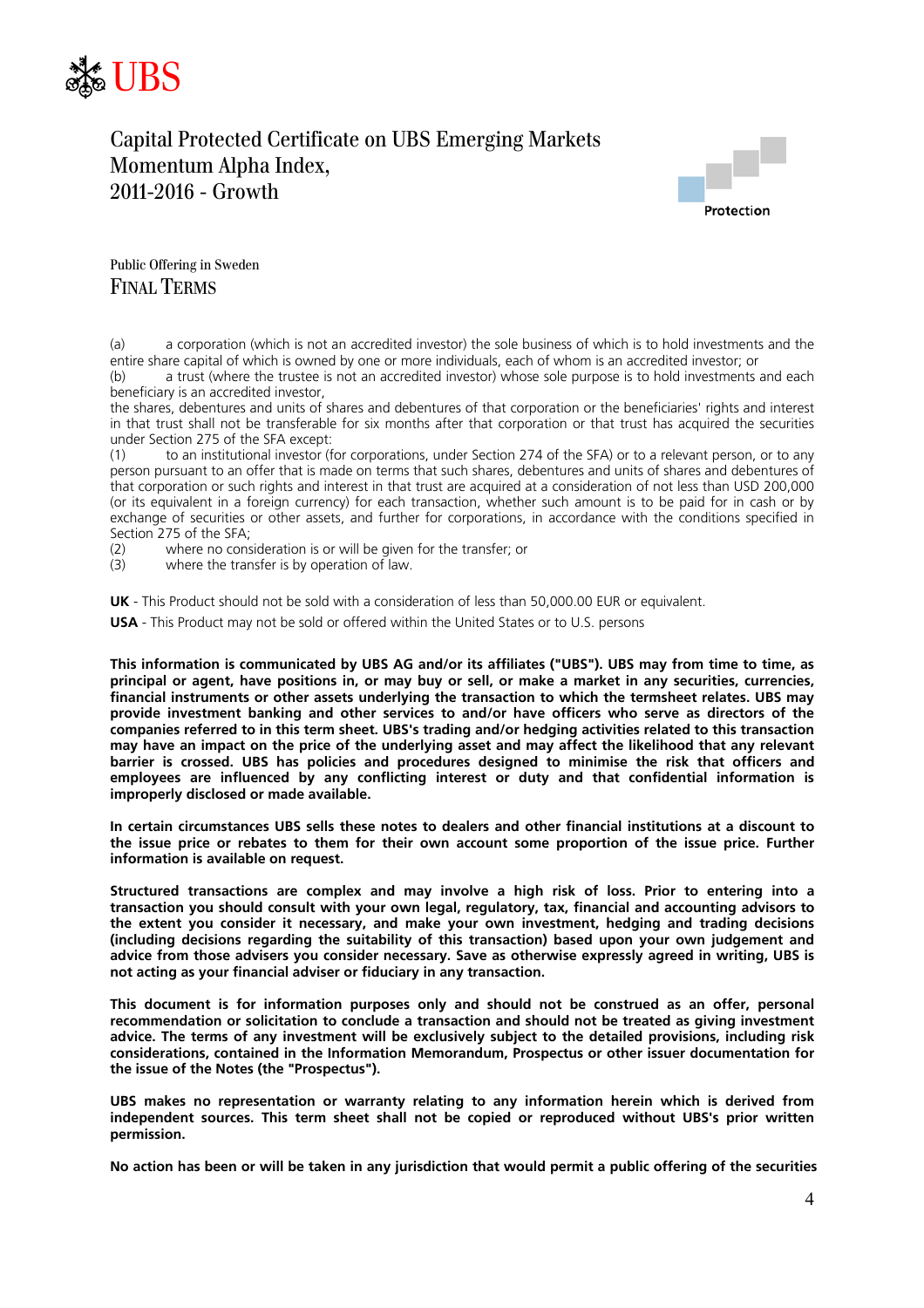



Public Offering in Sweden FINAL TERMS

(a) a corporation (which is not an accredited investor) the sole business of which is to hold investments and the entire share capital of which is owned by one or more individuals, each of whom is an accredited investor; or

(b) a trust (where the trustee is not an accredited investor) whose sole purpose is to hold investments and each beneficiary is an accredited investor,

the shares, debentures and units of shares and debentures of that corporation or the beneficiaries' rights and interest in that trust shall not be transferable for six months after that corporation or that trust has acquired the securities under Section 275 of the SFA except:

(1) to an institutional investor (for corporations, under Section 274 of the SFA) or to a relevant person, or to any person pursuant to an offer that is made on terms that such shares, debentures and units of shares and debentures of that corporation or such rights and interest in that trust are acquired at a consideration of not less than USD 200,000 (or its equivalent in a foreign currency) for each transaction, whether such amount is to be paid for in cash or by exchange of securities or other assets, and further for corporations, in accordance with the conditions specified in Section 275 of the SFA;

(2) where no consideration is or will be given for the transfer; or

(3) where the transfer is by operation of law.

**UK** - This Product should not be sold with a consideration of less than 50,000.00 EUR or equivalent.

**USA** - This Product may not be sold or offered within the United States or to U.S. persons

**This information is communicated by UBS AG and/or its affiliates ("UBS"). UBS may from time to time, as principal or agent, have positions in, or may buy or sell, or make a market in any securities, currencies, financial instruments or other assets underlying the transaction to which the termsheet relates. UBS may provide investment banking and other services to and/or have officers who serve as directors of the companies referred to in this term sheet. UBS's trading and/or hedging activities related to this transaction may have an impact on the price of the underlying asset and may affect the likelihood that any relevant barrier is crossed. UBS has policies and procedures designed to minimise the risk that officers and employees are influenced by any conflicting interest or duty and that confidential information is improperly disclosed or made available.** 

**In certain circumstances UBS sells these notes to dealers and other financial institutions at a discount to the issue price or rebates to them for their own account some proportion of the issue price. Further information is available on request.** 

**Structured transactions are complex and may involve a high risk of loss. Prior to entering into a transaction you should consult with your own legal, regulatory, tax, financial and accounting advisors to the extent you consider it necessary, and make your own investment, hedging and trading decisions (including decisions regarding the suitability of this transaction) based upon your own judgement and advice from those advisers you consider necessary. Save as otherwise expressly agreed in writing, UBS is not acting as your financial adviser or fiduciary in any transaction.** 

**This document is for information purposes only and should not be construed as an offer, personal recommendation or solicitation to conclude a transaction and should not be treated as giving investment advice. The terms of any investment will be exclusively subject to the detailed provisions, including risk considerations, contained in the Information Memorandum, Prospectus or other issuer documentation for the issue of the Notes (the "Prospectus").** 

**UBS makes no representation or warranty relating to any information herein which is derived from independent sources. This term sheet shall not be copied or reproduced without UBS's prior written permission.** 

**No action has been or will be taken in any jurisdiction that would permit a public offering of the securities**